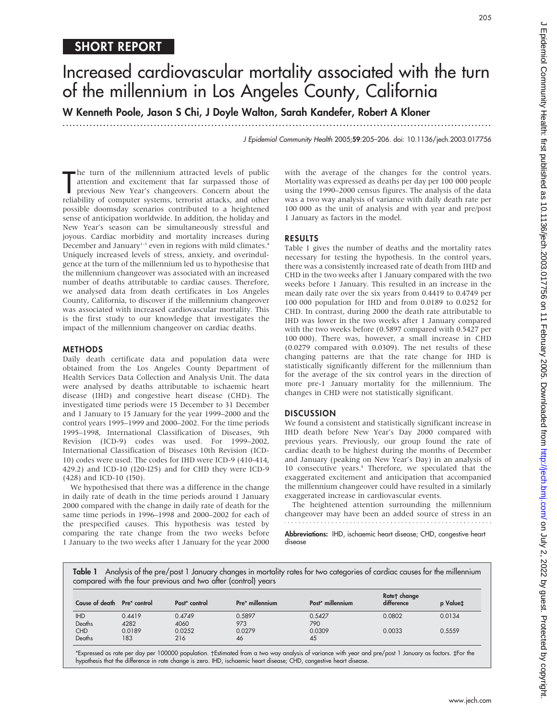# Increased cardiovascular mortality associated with the turn of the millennium in Los Angeles County, California

W Kenneth Poole, Jason S Chi, J Doyle Walton, Sarah Kandefer, Robert A Kloner

...............................................................................................................................

J Epidemiol Community Health 2005;59:205–206. doi: 10.1136/jech.2003.017756

The turn of the millennium attracted levels of public<br>attention and excitement that far surpassed those of<br>previous New Year's changeovers. Concern about the<br>reliability of computer systems, terrorist attacks, and other he turn of the millennium attracted levels of public attention and excitement that far surpassed those of previous New Year's changeovers. Concern about the possible doomsday scenarios contributed to a heightened sense of anticipation worldwide. In addition, the holiday and New Year's season can be simultaneously stressful and joyous. Cardiac morbidity and mortality increases during December and January<sup>1-3</sup> even in regions with mild climates.<sup>4</sup> Uniquely increased levels of stress, anxiety, and overindulgence at the turn of the millennium led us to hypothesise that the millennium changeover was associated with an increased number of deaths attributable to cardiac causes. Therefore, we analysed data from death certificates in Los Angeles County, California, to discover if the millennium changeover was associated with increased cardiovascular mortality. This is the first study to our knowledge that investigates the impact of the millennium changeover on cardiac deaths.

#### METHODS

Daily death certificate data and population data were obtained from the Los Angeles County Department of Health Services Data Collection and Analysis Unit. The data were analysed by deaths attributable to ischaemic heart disease (IHD) and congestive heart disease (CHD). The investigated time periods were 15 December to 31 December and 1 January to 15 January for the year 1999–2000 and the control years 1995–1999 and 2000–2002. For the time periods 1995–1998, International Classification of Diseases, 9th Revision (ICD-9) codes was used. For 1999–2002, International Classification of Diseases 10th Revision (ICD-10) codes were used. The codes for IHD were ICD-9 (410-414, 429.2) and ICD-10 (I20-I25) and for CHD they were ICD-9 (428) and ICD-10 (I50).

We hypothesised that there was a difference in the change in daily rate of death in the time periods around 1 January 2000 compared with the change in daily rate of death for the same time periods in 1996–1998 and 2000–2002 for each of the prespecified causes. This hypothesis was tested by comparing the rate change from the two weeks before 1 January to the two weeks after 1 January for the year 2000 with the average of the changes for the control years. Mortality was expressed as deaths per day per 100 000 people using the 1990–2000 census figures. The analysis of the data was a two way analysis of variance with daily death rate per 100 000 as the unit of analysis and with year and pre/post 1 January as factors in the model.

## RESULTS

Table 1 gives the number of deaths and the mortality rates necessary for testing the hypothesis. In the control years, there was a consistently increased rate of death from IHD and CHD in the two weeks after 1 January compared with the two weeks before 1 January. This resulted in an increase in the mean daily rate over the six years from 0.4419 to 0.4749 per 100 000 population for IHD and from 0.0189 to 0.0252 for CHD. In contrast, during 2000 the death rate attributable to IHD was lower in the two weeks after 1 January compared with the two weeks before (0.5897 compared with 0.5427 per 100 000). There was, however, a small increase in CHD (0.0279 compared with 0.0309). The net results of these changing patterns are that the rate change for IHD is statistically significantly different for the millennium than for the average of the six control years in the direction of more pre-1 January mortality for the millennium. The changes in CHD were not statistically significant.

# **DISCUSSION**

We found a consistent and statistically significant increase in IHD death before New Year's Day 2000 compared with previous years. Previously, our group found the rate of cardiac death to be highest during the months of December and January (peaking on New Year's Day) in an analysis of 10 consecutive years.4 Therefore, we speculated that the exaggerated excitement and anticipation that accompanied the millennium changeover could have resulted in a similarly exaggerated increase in cardiovascular events.

The heightened attention surrounding the millennium changeover may have been an added source of stress in an 

Abbreviations: IHD, ischaemic heart disease; CHD, congestive heart disease

Table 1 Analysis of the pre/post 1 January changes in mortality rates for two categories of cardiac causes for the millennium compared with the four previous and two after (control) years

| Cause of death Pre* control |                | Post* control  | Pre* millennium | Post* millennium | Ratet change<br>difference | p Valuet |
|-----------------------------|----------------|----------------|-----------------|------------------|----------------------------|----------|
| <b>IHD</b><br>Deaths        | 0.4419<br>4282 | 0.4749<br>4060 | 0.5897<br>973   | 0.5427<br>790    | 0.0802                     | 0.0134   |
| <b>CHD</b><br>Deaths        | 0.0189<br>183  | 0.0252<br>216  | 0.0279<br>46    | 0.0309<br>45     | 0.0033                     | 0.5559   |

\*Expressed as rate per day per 100000 population. Estimated from a two way analysis of variance with year and pre/post 1 January as factors. `For the hypothesis that the difference in rate change is zero. IHD, ischaemic heart disease; CHD, congestive heart disease.